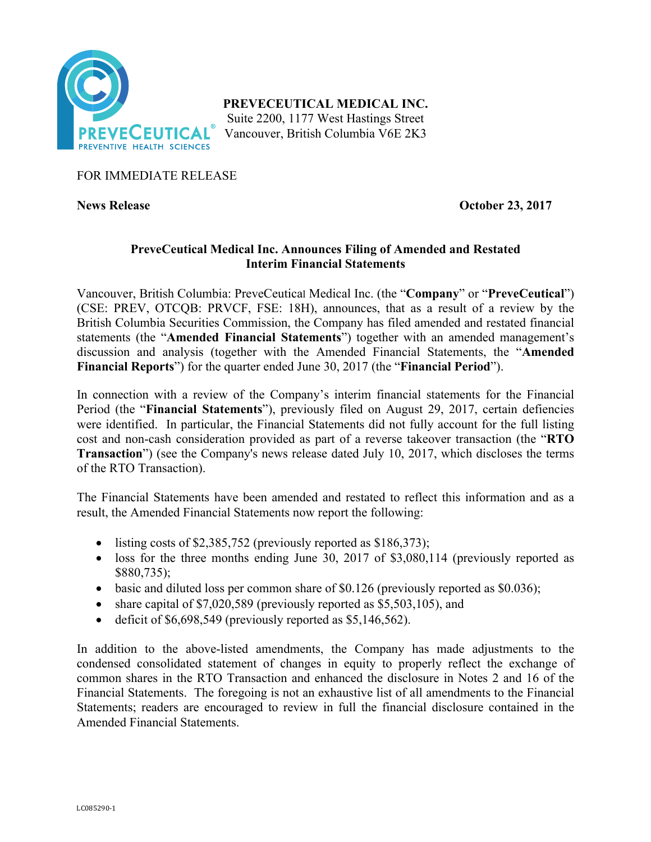

**PREVECEUTICAL MEDICAL INC.**

Suite 2200, 1177 West Hastings Street Vancouver, British Columbia V6E 2K3

# FOR IMMEDIATE RELEASE

**News Release October 23, 2017**

## **PreveCeutical Medical Inc. Announces Filing of Amended and Restated Interim Financial Statements**

Vancouver, British Columbia: PreveCeutical Medical Inc. (the "**Company**" or "**PreveCeutical**") (CSE: PREV, OTCQB: PRVCF, FSE: 18H), announces, that as a result of a review by the British Columbia Securities Commission, the Company has filed amended and restated financial statements (the "**Amended Financial Statements**") together with an amended management's discussion and analysis (together with the Amended Financial Statements, the "**Amended Financial Reports**") for the quarter ended June 30, 2017 (the "**Financial Period**").

In connection with a review of the Company's interim financial statements for the Financial Period (the "**Financial Statements**"), previously filed on August 29, 2017, certain defiencies were identified. In particular, the Financial Statements did not fully account for the full listing cost and non-cash consideration provided as part of a reverse takeover transaction (the "**RTO Transaction**") (see the Company's news release dated July 10, 2017, which discloses the terms of the RTO Transaction).

The Financial Statements have been amended and restated to reflect this information and as a result, the Amended Financial Statements now report the following:

- listing costs of \$2,385,752 (previously reported as \$186,373);
- loss for the three months ending June 30, 2017 of \$3,080,114 (previously reported as \$880,735);
- basic and diluted loss per common share of \$0.126 (previously reported as \$0.036);
- share capital of \$7,020,589 (previously reported as \$5,503,105), and
- deficit of  $$6,698,549$  (previously reported as  $$5,146,562$ ).

In addition to the above-listed amendments, the Company has made adjustments to the condensed consolidated statement of changes in equity to properly reflect the exchange of common shares in the RTO Transaction and enhanced the disclosure in Notes 2 and 16 of the Financial Statements. The foregoing is not an exhaustive list of all amendments to the Financial Statements; readers are encouraged to review in full the financial disclosure contained in the Amended Financial Statements.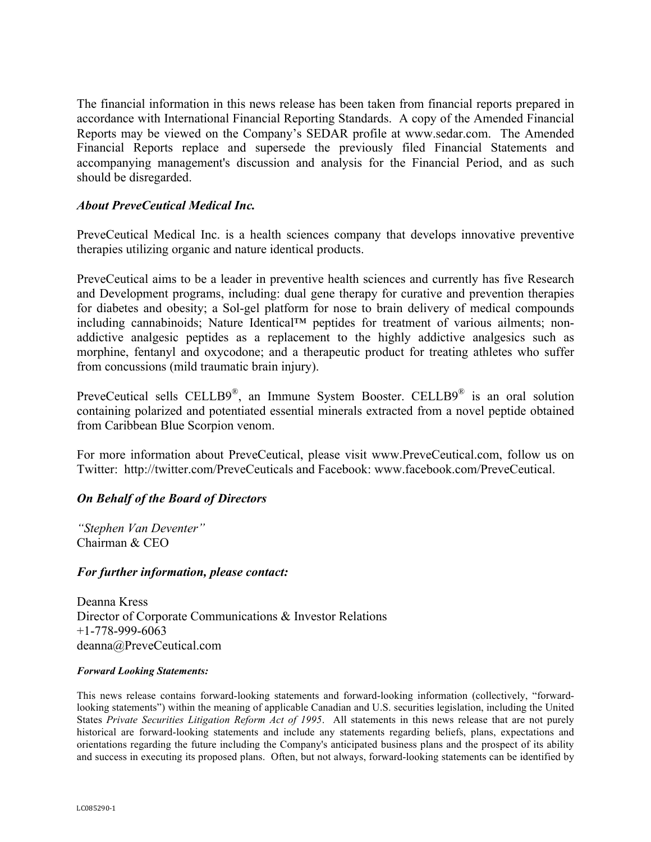The financial information in this news release has been taken from financial reports prepared in accordance with International Financial Reporting Standards. A copy of the Amended Financial Reports may be viewed on the Company's SEDAR profile at www.sedar.com. The Amended Financial Reports replace and supersede the previously filed Financial Statements and accompanying management's discussion and analysis for the Financial Period, and as such should be disregarded.

### *About PreveCeutical Medical Inc.*

PreveCeutical Medical Inc. is a health sciences company that develops innovative preventive therapies utilizing organic and nature identical products.

PreveCeutical aims to be a leader in preventive health sciences and currently has five Research and Development programs, including: dual gene therapy for curative and prevention therapies for diabetes and obesity; a Sol-gel platform for nose to brain delivery of medical compounds including cannabinoids; Nature Identical™ peptides for treatment of various ailments; nonaddictive analgesic peptides as a replacement to the highly addictive analgesics such as morphine, fentanyl and oxycodone; and a therapeutic product for treating athletes who suffer from concussions (mild traumatic brain injury).

PreveCeutical sells CELLB9®, an Immune System Booster. CELLB9® is an oral solution containing polarized and potentiated essential minerals extracted from a novel peptide obtained from Caribbean Blue Scorpion venom.

For more information about PreveCeutical, please visit www.PreveCeutical.com, follow us on Twitter: http://twitter.com/PreveCeuticals and Facebook: www.facebook.com/PreveCeutical.

### *On Behalf of the Board of Directors*

*"Stephen Van Deventer"* Chairman & CEO

### *For further information, please contact:*

Deanna Kress Director of Corporate Communications & Investor Relations +1-778-999-6063 deanna@PreveCeutical.com

#### *Forward Looking Statements:*

This news release contains forward-looking statements and forward-looking information (collectively, "forwardlooking statements") within the meaning of applicable Canadian and U.S. securities legislation, including the United States *Private Securities Litigation Reform Act of 1995*. All statements in this news release that are not purely historical are forward-looking statements and include any statements regarding beliefs, plans, expectations and orientations regarding the future including the Company's anticipated business plans and the prospect of its ability and success in executing its proposed plans. Often, but not always, forward-looking statements can be identified by